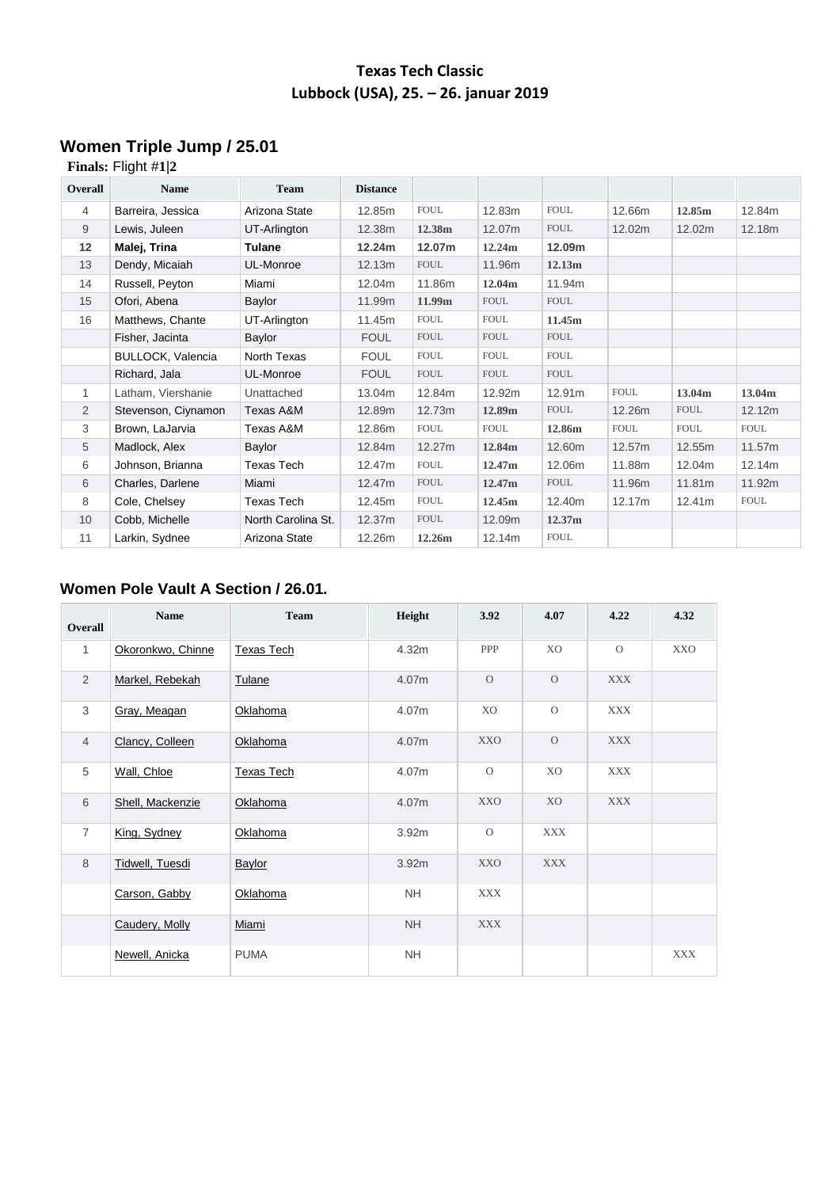## **Texas Tech Classic Lubbock (USA), 25. – 26. januar 2019**

# **Women Triple Jump / 25.01**

### **Finals:** Flight #**[1](https://www.directathletics.com/results/track/58965_3590439.html#round4_heat1)**|**[2](https://www.directathletics.com/results/track/58965_3590439.html#round4_heat2)**

| <b>Overall</b> | <b>Name</b>              | <b>Team</b>        | <b>Distance</b> |                    |             |              |             |             |             |
|----------------|--------------------------|--------------------|-----------------|--------------------|-------------|--------------|-------------|-------------|-------------|
| $\overline{4}$ | Barreira, Jessica        | Arizona State      | 12.85m          | <b>FOUL</b>        | 12.83m      | <b>FOUL</b>  | 12.66m      | 12.85m      | 12.84m      |
| 9              | Lewis, Juleen            | UT-Arlington       | 12.38m          | 12.38m             | 12.07m      | <b>FOUL</b>  | 12.02m      | 12.02m      | 12.18m      |
| 12             | Malej, Trina             | Tulane             | 12.24m          | 12.07m             | 12.24m      | 12.09m       |             |             |             |
| 13             | Dendy, Micaiah           | UL-Monroe          | 12.13m          | <b>FOUL</b>        | 11.96m      | 12.13m       |             |             |             |
| 14             | Russell, Peyton          | Miami              | 12.04m          | 11.86m             | 12.04m      | 11.94m       |             |             |             |
| 15             | Ofori, Abena             | Baylor             | 11.99m          | 11.99 <sub>m</sub> | <b>FOUL</b> | <b>FOUL</b>  |             |             |             |
| 16             | Matthews, Chante         | UT-Arlington       | 11.45m          | <b>FOUL</b>        | <b>FOUL</b> | 11.45m       |             |             |             |
|                | Fisher, Jacinta          | Baylor             | <b>FOUL</b>     | <b>FOUL</b>        | <b>FOUL</b> | <b>FOUL</b>  |             |             |             |
|                | <b>BULLOCK, Valencia</b> | North Texas        | <b>FOUL</b>     | <b>FOUL</b>        | <b>FOUL</b> | ${\tt FOUL}$ |             |             |             |
|                | Richard, Jala            | UL-Monroe          | <b>FOUL</b>     | <b>FOUL</b>        | <b>FOUL</b> | <b>FOUL</b>  |             |             |             |
| 1              | Latham, Viershanie       | Unattached         | 13.04m          | 12.84m             | 12.92m      | 12.91m       | <b>FOUL</b> | 13.04m      | 13.04m      |
| $\overline{2}$ | Stevenson, Ciynamon      | Texas A&M          | 12.89m          | 12.73m             | 12.89m      | <b>FOUL</b>  | 12.26m      | <b>FOUL</b> | 12.12m      |
| 3              | Brown, LaJarvia          | Texas A&M          | 12.86m          | <b>FOUL</b>        | <b>FOUL</b> | 12.86m       | <b>FOUL</b> | <b>FOUL</b> | <b>FOUL</b> |
| 5              | Madlock, Alex            | Baylor             | 12.84m          | 12.27m             | 12.84m      | 12.60m       | 12.57m      | 12.55m      | 11.57m      |
| 6              | Johnson, Brianna         | <b>Texas Tech</b>  | 12.47m          | <b>FOUL</b>        | 12.47m      | 12.06m       | 11.88m      | 12.04m      | 12.14m      |
| 6              | Charles, Darlene         | Miami              | 12.47m          | <b>FOUL</b>        | 12.47m      | <b>FOUL</b>  | 11.96m      | 11.81m      | 11.92m      |
| 8              | Cole, Chelsey            | Texas Tech         | 12.45m          | <b>FOUL</b>        | 12.45m      | 12.40m       | 12.17m      | 12.41m      | <b>FOUL</b> |
| 10             | Cobb, Michelle           | North Carolina St. | 12.37m          | <b>FOUL</b>        | 12.09m      | 12.37m       |             |             |             |
| 11             | Larkin, Sydnee           | Arizona State      | 12.26m          | 12.26m             | 12.14m      | <b>FOUL</b>  |             |             |             |

#### **Women Pole Vault A Section / 26.01.**

| Overall        | <b>Name</b>       | <b>Team</b>       | Height    | 3.92           | 4.07           | 4.22       | 4.32       |
|----------------|-------------------|-------------------|-----------|----------------|----------------|------------|------------|
| 1              | Okoronkwo, Chinne | <b>Texas Tech</b> | 4.32m     | <b>PPP</b>     | X <sub>O</sub> | $\Omega$   | <b>XXO</b> |
| $\overline{2}$ | Markel, Rebekah   | Tulane            | 4.07m     | $\overline{O}$ | $\overline{O}$ | <b>XXX</b> |            |
| 3              | Gray, Meagan      | Oklahoma          | 4.07m     | XO             | $\overline{O}$ | <b>XXX</b> |            |
| $\overline{4}$ | Clancy, Colleen   | Oklahoma          | 4.07m     | <b>XXO</b>     | $\Omega$       | <b>XXX</b> |            |
| 5              | Wall, Chloe       | <b>Texas Tech</b> | 4.07m     | $\circ$        | XO             | <b>XXX</b> |            |
| 6              | Shell, Mackenzie  | Oklahoma          | 4.07m     | <b>XXO</b>     | X <sub>O</sub> | <b>XXX</b> |            |
| $\overline{7}$ | King, Sydney      | Oklahoma          | 3.92m     | $\mathcal{O}$  | <b>XXX</b>     |            |            |
| 8              | Tidwell, Tuesdi   | Baylor            | 3.92m     | <b>XXO</b>     | <b>XXX</b>     |            |            |
|                | Carson, Gabby     | Oklahoma          | <b>NH</b> | <b>XXX</b>     |                |            |            |
|                | Caudery, Molly    | Miami             | <b>NH</b> | <b>XXX</b>     |                |            |            |
|                | Newell, Anicka    | <b>PUMA</b>       | <b>NH</b> |                |                |            | <b>XXX</b> |